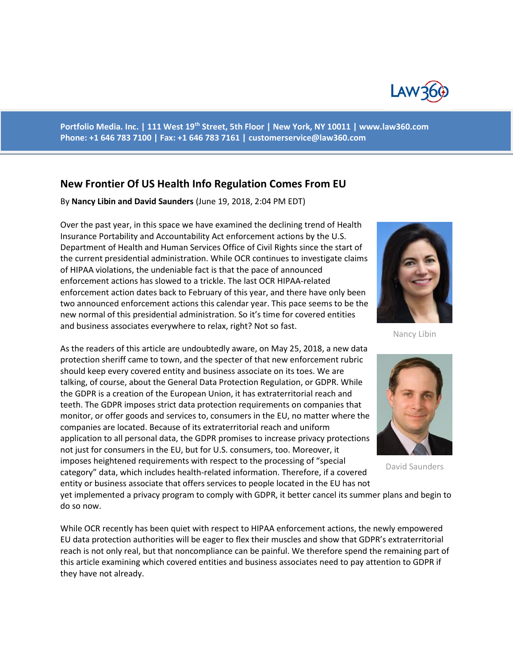

**Portfolio Media. Inc. | 111 West 19th Street, 5th Floor | New York, NY 10011 | www.law360.com Phone: +1 646 783 7100 | Fax: +1 646 783 7161 | [customerservice@law360.com](mailto:customerservice@law360.com)**

## **New Frontier Of US Health Info Regulation Comes From EU**

By **Nancy Libin and David Saunders** (June 19, 2018, 2:04 PM EDT)

Over the past year, in this space we have examined the declining trend of Health Insurance Portability and Accountability Act enforcement actions by the U.S. Department of Health and Human Services Office of Civil Rights since the start of the current presidential administration. While OCR continues to investigate claims of HIPAA violations, the undeniable fact is that the pace of announced enforcement actions has slowed to a trickle. The last OCR HIPAA-related enforcement action dates back to February of this year, and there have only been two announced enforcement actions this calendar year. This pace seems to be the new normal of this presidential administration. So it's time for covered entities and business associates everywhere to relax, right? Not so fast.

As the readers of this article are undoubtedly aware, on May 25, 2018, a new data protection sheriff came to town, and the specter of that new enforcement rubric should keep every covered entity and business associate on its toes. We are talking, of course, about the General Data Protection Regulation, or GDPR. While the GDPR is a creation of the European Union, it has extraterritorial reach and teeth. The GDPR imposes strict data protection requirements on companies that monitor, or offer goods and services to, consumers in the EU, no matter where the companies are located. Because of its extraterritorial reach and uniform application to all personal data, the GDPR promises to increase privacy protections not just for consumers in the EU, but for U.S. consumers, too. Moreover, it imposes heightened requirements with respect to the processing of "special category" data, which includes health-related information. Therefore, if a covered entity or business associate that offers services to people located in the EU has not



Nancy Libin



David Saunders

yet implemented a privacy program to comply with GDPR, it better cancel its summer plans and begin to do so now.

While OCR recently has been quiet with respect to HIPAA enforcement actions, the newly empowered EU data protection authorities will be eager to flex their muscles and show that GDPR's extraterritorial reach is not only real, but that noncompliance can be painful. We therefore spend the remaining part of this article examining which covered entities and business associates need to pay attention to GDPR if they have not already.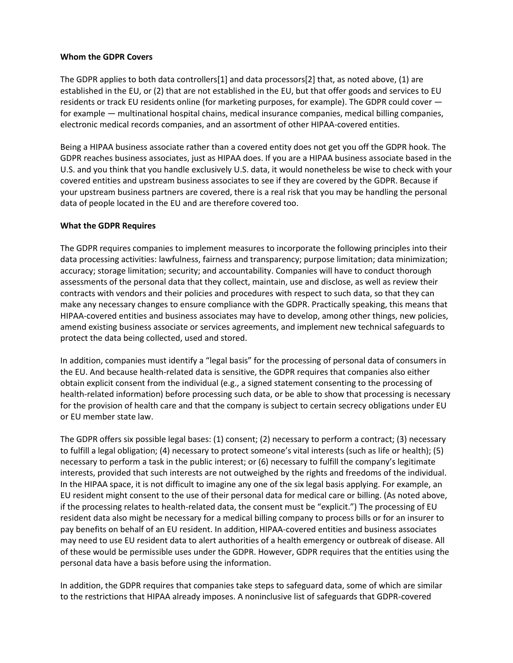## **Whom the GDPR Covers**

The GDPR applies to both data controllers[1] and data processors[2] that, as noted above, (1) are established in the EU, or (2) that are not established in the EU, but that offer goods and services to EU residents or track EU residents online (for marketing purposes, for example). The GDPR could cover for example — multinational hospital chains, medical insurance companies, medical billing companies, electronic medical records companies, and an assortment of other HIPAA-covered entities.

Being a HIPAA business associate rather than a covered entity does not get you off the GDPR hook. The GDPR reaches business associates, just as HIPAA does. If you are a HIPAA business associate based in the U.S. and you think that you handle exclusively U.S. data, it would nonetheless be wise to check with your covered entities and upstream business associates to see if they are covered by the GDPR. Because if your upstream business partners are covered, there is a real risk that you may be handling the personal data of people located in the EU and are therefore covered too.

## **What the GDPR Requires**

The GDPR requires companies to implement measures to incorporate the following principles into their data processing activities: lawfulness, fairness and transparency; purpose limitation; data minimization; accuracy; storage limitation; security; and accountability. Companies will have to conduct thorough assessments of the personal data that they collect, maintain, use and disclose, as well as review their contracts with vendors and their policies and procedures with respect to such data, so that they can make any necessary changes to ensure compliance with the GDPR. Practically speaking, this means that HIPAA-covered entities and business associates may have to develop, among other things, new policies, amend existing business associate or services agreements, and implement new technical safeguards to protect the data being collected, used and stored.

In addition, companies must identify a "legal basis" for the processing of personal data of consumers in the EU. And because health-related data is sensitive, the GDPR requires that companies also either obtain explicit consent from the individual (e.g., a signed statement consenting to the processing of health-related information) before processing such data, or be able to show that processing is necessary for the provision of health care and that the company is subject to certain secrecy obligations under EU or EU member state law.

The GDPR offers six possible legal bases: (1) consent; (2) necessary to perform a contract; (3) necessary to fulfill a legal obligation; (4) necessary to protect someone's vital interests (such as life or health); (5) necessary to perform a task in the public interest; or (6) necessary to fulfill the company's legitimate interests, provided that such interests are not outweighed by the rights and freedoms of the individual. In the HIPAA space, it is not difficult to imagine any one of the six legal basis applying. For example, an EU resident might consent to the use of their personal data for medical care or billing. (As noted above, if the processing relates to health-related data, the consent must be "explicit.") The processing of EU resident data also might be necessary for a medical billing company to process bills or for an insurer to pay benefits on behalf of an EU resident. In addition, HIPAA-covered entities and business associates may need to use EU resident data to alert authorities of a health emergency or outbreak of disease. All of these would be permissible uses under the GDPR. However, GDPR requires that the entities using the personal data have a basis before using the information.

In addition, the GDPR requires that companies take steps to safeguard data, some of which are similar to the restrictions that HIPAA already imposes. A noninclusive list of safeguards that GDPR-covered